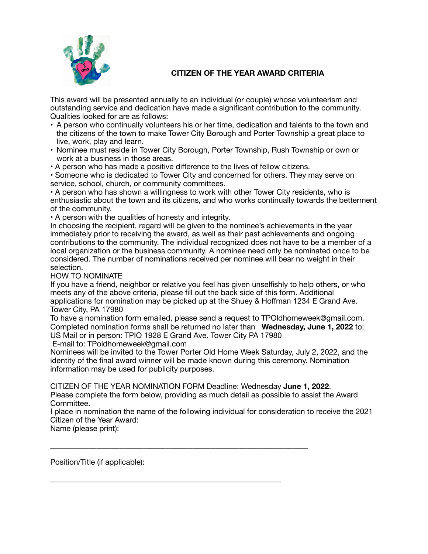

## **CITIZEN OF THE YEAR AWARD CRITERIA**

This award will be presented annually to an individual (or couple) whose volunteerism and outstanding service and dedication have made a significant contribution to the community. Qualities looked for are as follows:

- A person who continually volunteers his or her time, dedication and talents to the town and the citizens of the town to make Tower City Borough and Porter Township a great place to live, work, play and learn.
- Nominee must reside in Tower City Borough, Porter Township, Rush Township or own or work at a business in those areas.
- A person who has made a positive difference to the lives of fellow citizens.

• Someone who is dedicated to Tower City and concerned for others. They may serve on service, school, church, or community committees.

• A person who has shown a willingness to work with other Tower City residents, who is enthusiastic about the town and its citizens, and who works continually towards the betterment of the community.

• A person with the qualities of honesty and integrity.

In choosing the recipient, regard will be given to the nominee's achievements in the year immediately prior to receiving the award, as well as their past achievements and ongoing contributions to the community. The individual recognized does not have to be a member of a local organization or the business community. A nominee need only be nominated once to be considered. The number of nominations received per nominee will bear no weight in their selection.

HOW TO NOMINATE

If you have a friend, neighbor or relative you feel has given unselfishly to help others, or who meets any of the above criteria, please fill out the back side of this form. Additional applications for nomination may be picked up at the Shuey & Hoffman 1234 E Grand Ave. Tower City, PA 17980

To have a nomination form emailed, please send a request to TPOldhomeweek@gmail.com. Completed nomination forms shall be returned no later than **Wednesday, June 1, 2022** to: US Mail or in person: TPIO 1928 E Grand Ave. Tower City PA 17980

E-mail to: TPoldhomeweek@gmail.com

Nominees will be invited to the Tower Porter Old Home Week Saturday, July 2, 2022, and the identity of the final award winner will be made known during this ceremony. Nomination information may be used for publicity purposes.

CITIZEN OF THE YEAR NOMINATION FORM Deadline: Wednesday **June 1, 2022**.

\_\_\_\_\_\_\_\_\_\_\_\_\_\_\_\_\_\_\_\_\_\_\_\_\_\_\_\_\_\_\_\_\_\_\_\_\_\_\_\_\_\_\_\_\_\_\_\_\_\_\_\_\_\_\_\_\_\_\_\_\_\_\_\_\_\_\_

\_\_\_\_\_\_\_\_\_\_\_\_\_\_\_\_\_\_\_\_\_\_\_\_\_\_\_\_\_\_\_\_\_\_\_\_\_\_\_\_\_\_\_\_\_\_\_\_\_\_\_\_\_\_\_\_\_\_\_\_

Please complete the form below, providing as much detail as possible to assist the Award Committee.

I place in nomination the name of the following individual for consideration to receive the 2021 Citizen of the Year Award:

Name (please print):

Position/Title (if applicable):